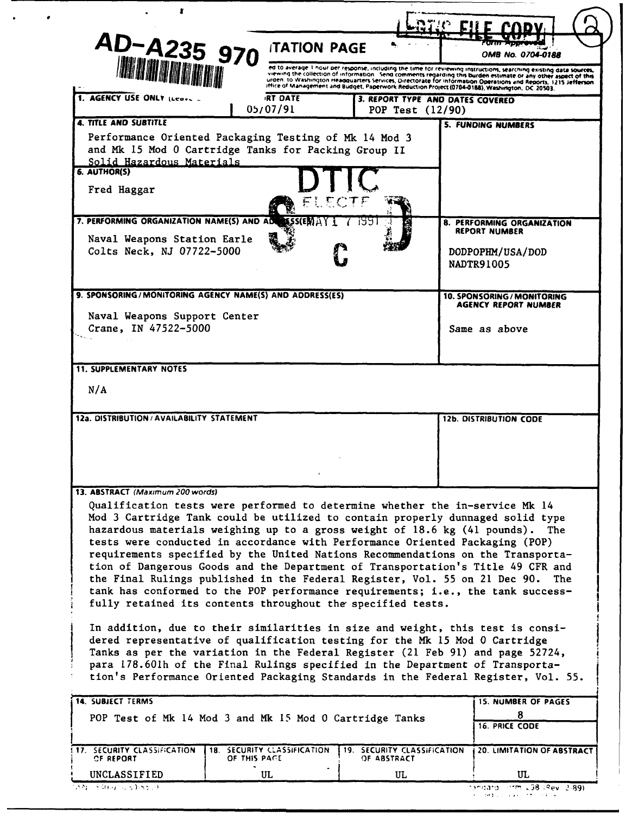| AD-A235 970                                                                                                                                                                                                                                                                                                                                                                                                                                                                                                                                                                                                                                                                                                                       | <b>ITATION PAGE</b>         |                                                      | OMB No. 0704-0188                                                                                                                                                                                                                                                                                                                                                                                                                                          |
|-----------------------------------------------------------------------------------------------------------------------------------------------------------------------------------------------------------------------------------------------------------------------------------------------------------------------------------------------------------------------------------------------------------------------------------------------------------------------------------------------------------------------------------------------------------------------------------------------------------------------------------------------------------------------------------------------------------------------------------|-----------------------------|------------------------------------------------------|------------------------------------------------------------------------------------------------------------------------------------------------------------------------------------------------------------------------------------------------------------------------------------------------------------------------------------------------------------------------------------------------------------------------------------------------------------|
| <b>IMA MATATION</b>                                                                                                                                                                                                                                                                                                                                                                                                                                                                                                                                                                                                                                                                                                               |                             |                                                      | ed to average 1 hour per response, including the time for reviewing instructions, searching existing data sources,<br>viewing the collection of information. Send comments regarding this burden estimate or any other aspect of this<br>urden. to Washington Headquarters Services, Directorate for Information Operations and Reports, 1215 Jefferson<br>Iffice of Management and Budget, Paperwork Reduction Project (0704-0188), Washington, DC 20503. |
| 1. AGENCY USE ONLY (Lease                                                                                                                                                                                                                                                                                                                                                                                                                                                                                                                                                                                                                                                                                                         | <b>IRT DATE</b><br>05/07/91 | 3. REPORT TYPE AND DATES COVERED<br>POP Test (12/90) |                                                                                                                                                                                                                                                                                                                                                                                                                                                            |
| <b>4. TITLE AND SUBTITLE</b><br>Performance Oriented Packaging Testing of Mk 14 Mod 3<br>and Mk 15 Mod 0 Cartridge Tanks for Packing Group II<br>Solid Hazardous Materials<br>6. AUTHOR(S)<br>Fred Haggar                                                                                                                                                                                                                                                                                                                                                                                                                                                                                                                         | ર અંતિ                      |                                                      | <b>5. FUNDING NUMBERS</b>                                                                                                                                                                                                                                                                                                                                                                                                                                  |
| 7. PERFORMING ORGANIZATION NAME(S) AND AD<br>Naval Weapons Station Earle<br>Colts Neck, NJ 07722-5000                                                                                                                                                                                                                                                                                                                                                                                                                                                                                                                                                                                                                             |                             |                                                      | 8. PERFORMING ORGANIZATION<br><b>REPORT NUMBER</b><br>DODPOPHM/USA/DOD<br><b>NADTR91005</b>                                                                                                                                                                                                                                                                                                                                                                |
| 9. SPONSORING/MONITORING AGENCY NAME(S) AND ADDRESS(ES)                                                                                                                                                                                                                                                                                                                                                                                                                                                                                                                                                                                                                                                                           |                             |                                                      | 10. SPONSORING / MONITORING<br>AGENCY REPORT NUMBER                                                                                                                                                                                                                                                                                                                                                                                                        |
| Naval Weapons Support Center<br>Crane, IN 47522-5000                                                                                                                                                                                                                                                                                                                                                                                                                                                                                                                                                                                                                                                                              |                             |                                                      | Same as above                                                                                                                                                                                                                                                                                                                                                                                                                                              |
| <b>11. SUPPLEMENTARY NOTES</b>                                                                                                                                                                                                                                                                                                                                                                                                                                                                                                                                                                                                                                                                                                    |                             |                                                      |                                                                                                                                                                                                                                                                                                                                                                                                                                                            |
| N/A                                                                                                                                                                                                                                                                                                                                                                                                                                                                                                                                                                                                                                                                                                                               |                             |                                                      |                                                                                                                                                                                                                                                                                                                                                                                                                                                            |
| 12a. DISTRIBUTION / AVAILABILITY STATEMENT                                                                                                                                                                                                                                                                                                                                                                                                                                                                                                                                                                                                                                                                                        |                             |                                                      | <b>12b. DISTRIBUTION CODE</b>                                                                                                                                                                                                                                                                                                                                                                                                                              |
| 13. ABSTRACT (Maximum 200 words)                                                                                                                                                                                                                                                                                                                                                                                                                                                                                                                                                                                                                                                                                                  |                             |                                                      |                                                                                                                                                                                                                                                                                                                                                                                                                                                            |
| Qualification tests were performed to determine whether the in-service Mk 14<br>Mod 3 Cartridge Tank could be utilized to contain properly dunnaged solid type<br>hazardous materials weighing up to a gross weight of 18.6 kg (41 pounds).<br>tests were conducted in accordance with Performance Oriented Packaging (POP)<br>requirements specified by the United Nations Recommendations on the Transporta-<br>tion of Dangerous Goods and the Department of Transportation's Title 49 CFR and<br>the Final Rulings published in the Federal Register, Vol. 55 on 21 Dec 90.<br>tank has conformed to the POP performance requirements; i.e., the tank success-<br>fully retained its contents throughout the specified tests. |                             |                                                      | The<br>The .                                                                                                                                                                                                                                                                                                                                                                                                                                               |
| In addition, due to their similarities in size and weight, this test is consi-<br>dered representative of qualification testing for the Mk 15 Mod 0 Cartridge<br>Tanks as per the variation in the Federal Register (21 Feb 91) and page 52724,<br>para 178.601h of the Final Rulings specified in the Department of Transporta-<br>tion's Performance Oriented Packaging Standards in the Federal Register, Vol. 55.                                                                                                                                                                                                                                                                                                             |                             |                                                      |                                                                                                                                                                                                                                                                                                                                                                                                                                                            |
| <b>14. SUBJECT TERMS</b>                                                                                                                                                                                                                                                                                                                                                                                                                                                                                                                                                                                                                                                                                                          |                             |                                                      | <b>15. NUMBER OF PAGES</b><br>8                                                                                                                                                                                                                                                                                                                                                                                                                            |
| POP Test of Mk 14 Mod 3 and Mk 15 Mod 0 Cartridge Tanks                                                                                                                                                                                                                                                                                                                                                                                                                                                                                                                                                                                                                                                                           |                             |                                                      | <b>16. PRICE CODE</b>                                                                                                                                                                                                                                                                                                                                                                                                                                      |
| 17. SECURITY CLASSIFICATION<br>OF REPORT<br>OF THIS PACE                                                                                                                                                                                                                                                                                                                                                                                                                                                                                                                                                                                                                                                                          | 18. SECURITY CLASSIFICATION | <b>19. SECURITY CLASSIFICATION</b><br>OF ABSTRACT    | 20. LIMITATION OF ABSTRACT                                                                                                                                                                                                                                                                                                                                                                                                                                 |
| UNCLASSIFIED<br>55N - 54007-259-5520                                                                                                                                                                                                                                                                                                                                                                                                                                                                                                                                                                                                                                                                                              | UL                          | UL                                                   | UL<br>Tandard (orm 238 (Rev. 2-89).                                                                                                                                                                                                                                                                                                                                                                                                                        |

 $\bullet$  .  $\bullet$  .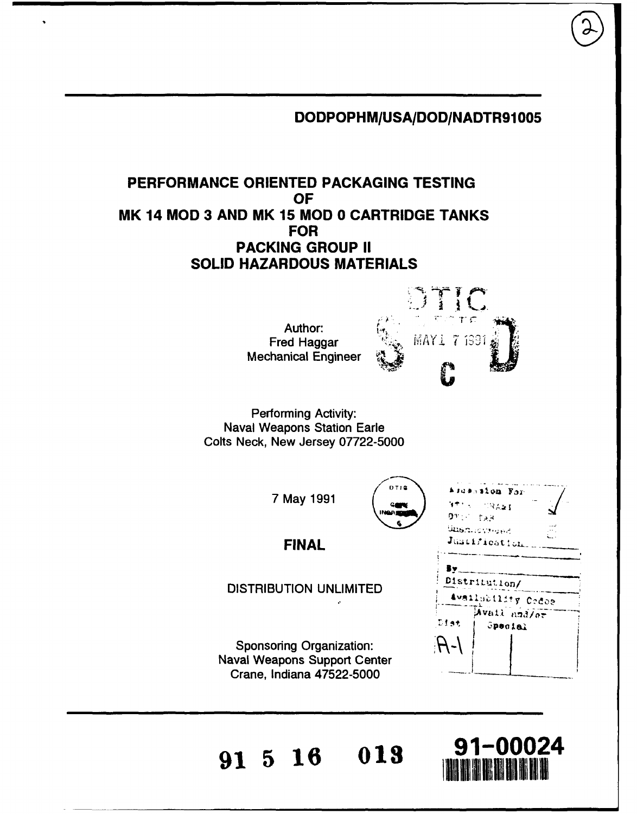**DODPOPHM/USA/DOD/NADTR91005**

# **PERFORMANCE ORIENTED PACKAGING TESTING OF MK 14 MOD 3 AND MK 15 MOD 0 CARTRIDGE TANKS FOR PACKING GROUP II SOLID HAZARDOUS MATERIALS**

Author: Mechanical Engineer



**DTIS 2008** 

Performing Activity: Naval Weapons Station Earle Colts Neck, New Jersey 07722-5000

**7** May 1991  $\left( \begin{array}{c} 0 & 1 & 0 \\ 0 & 0 & 0 \end{array} \right)$ 

**FINAL**

DISTRIBUTION UNLIMITED

Sponsoring Organization: Naval Weapons Support Center Crane, Indiana **47522-5000**

| .                                   |                         |  |
|-------------------------------------|-------------------------|--|
| <b>ATTA CRANE</b><br><b>DY: TAR</b> |                         |  |
| جہاں <i>ہوں جو محمد ال</i>          |                         |  |
| Justification.                      |                         |  |
| By.<br>Distribution/                |                         |  |
| Availability Codee                  |                         |  |
| Dist                                | Avail and/or<br>Special |  |
|                                     |                         |  |

**91 5 16 013 91-00024**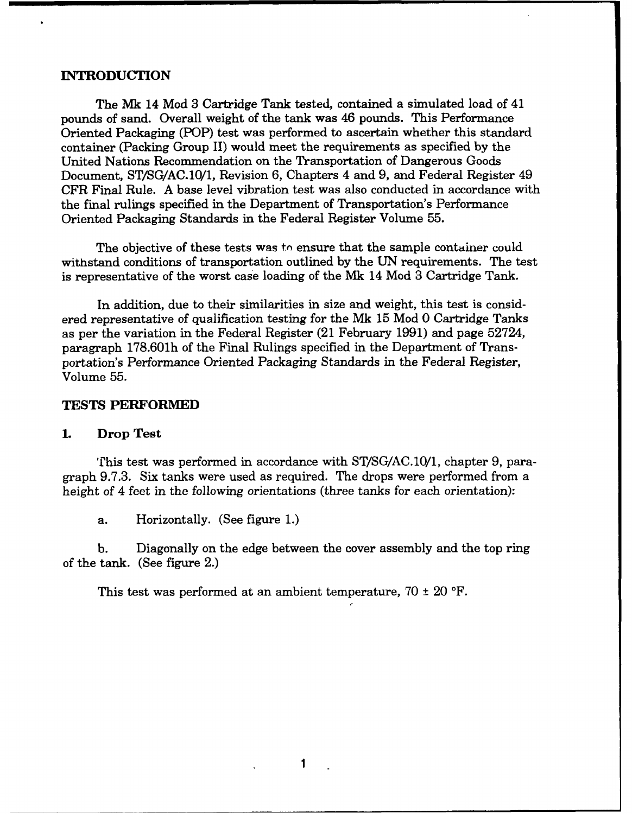#### **INTRODUCTION**

The **Mk** 14 Mod 3 Cartridge Tank tested, contained a simulated load of 41 pounds of sand. Overall weight of the tank was 46 pounds. This Performance Oriented Packaging (POP) test was performed to ascertain whether this standard container (Packing Group **II)** would meet the requirements as specified **by** the United Nations Recommendation on the Transportation of Dangerous Goods Document, **ST/SG/AC.10/1,** Revision **6,** Chapters 4 and **9,** and Federal Register 49 CFR Final Rule. **A** base level vibration test was also conducted in accordance with the final rulings specified in the Department of Transportation's Performance Oriented Packaging Standards in the Federal Register Volume **55.**

The objective of these tests was to ensure that the sample container could withstand conditions of transportation outlined **by** the **UN** requirements. The test is representative of the worst case loading of the **Mk** 14 Mod 3 Cartridge Tank.

In addition, due to their similarities in size and weight, this test is considered representative of qualification testing for the **Mk 15** Mod **0** Cartridge Tanks as per the variation in the Federal Register (21 February **1991)** and page 52724, paragraph **178.601h** of the Final Rulings specified in the Department of Transportation's Performance Oriented Packaging Standards in the Federal Register, Volume 55.

#### **TESTS PERFORMED**

### **1.** Drop Test

This test was performed in accordance with ST/SG/AC.10/1, chapter 9, paragraph 9.7.3. Six tanks were used as required. The drops were performed from a height of 4 feet in the following orientations (three tanks for each orientation):

a. Horizontally. (See figure 1.)

b. Diagonally on the edge between the cover assembly and the top ring of the tank. (See figure 2.)

This test was performed at an ambient temperature,  $70 \pm 20$  °F.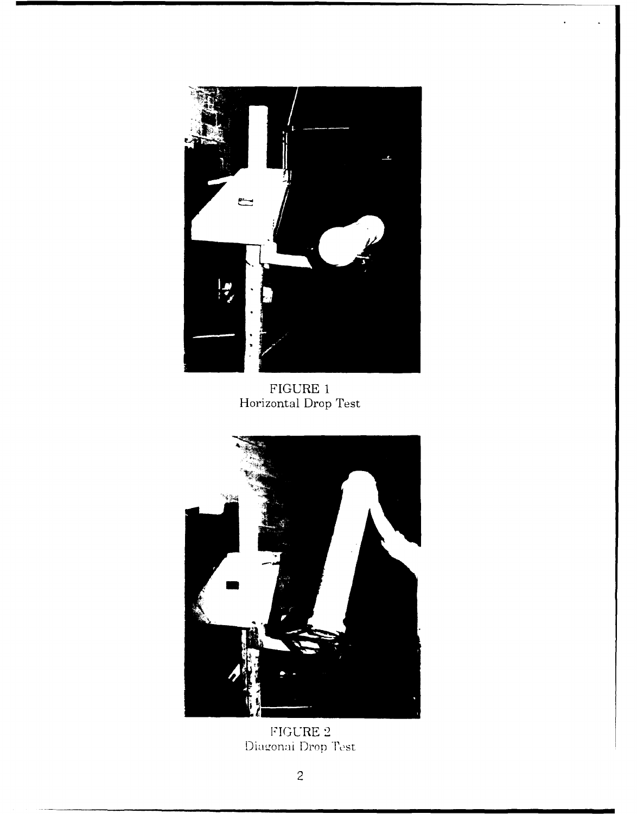

FIGURE 1<br>Horizontal Drop Test



FIGURE 2<br>Diagonal Drop Test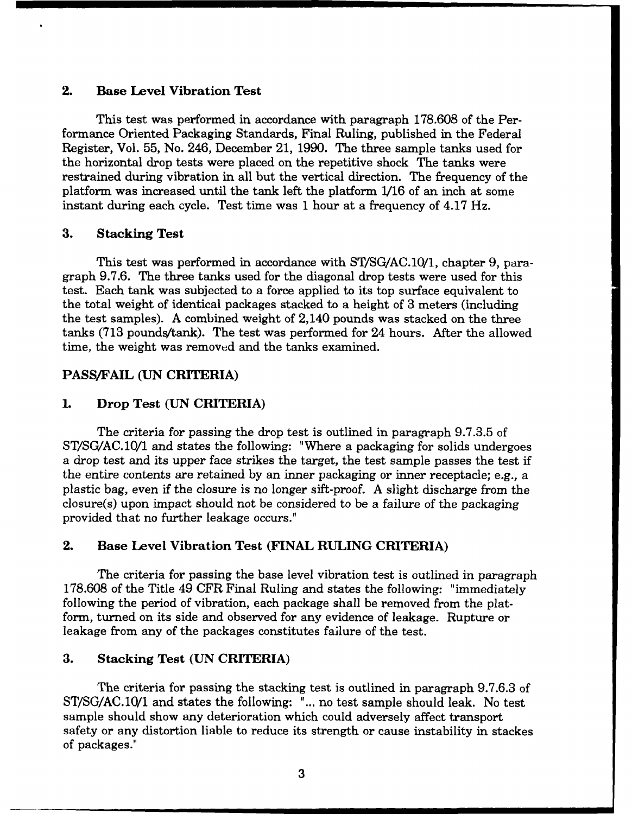## 2. Base Level Vibration Test

This test was performed in accordance with paragraph **178.608** of the Performance Oriented Packaging Standards, Final Ruling, published in the Federal Register, Vol. 55, No. 246, December 21, 1990. The three sample tanks used for the horizontal drop tests were placed on the repetitive shock The tanks were restrained during vibration in all but the vertical direction. The frequency of the platform was increased until the tank left the platform 1/16 of an inch at some instant during each cycle. Test time was 1 hour at a frequency of 4.17 Hz.

#### **3. Stacking Test**

This test was performed in accordance with ST/SG/AC.10/1, chapter 9, paragraph 9.7.6. The three tanks used for the diagonal drop tests were used for this test. Each tank was subjected to a force applied to its top surface equivalent to the total weight of identical packages stacked to a height of 3 meters (including the test samples). A combined weight of 2,140 pounds was stacked on the three tanks  $(713$  pounds/tank). The test was performed for 24 hours. After the allowed time, the weight was removed and the tanks examined.

#### **PASS/FAIL (UN CRITERIA)**

#### **1. Drop Test (UN CRITERIA)**

The criteria for passing the drop test is outlined in paragraph 9.7.3.5 of ST/SG/AC.10/1 and states the following: "Where a packaging for solids undergoes a drop test and its upper face strikes the target, the test sample passes the test if the entire contents are retained by an inner packaging or inner receptacle; e.g., a plastic bag, even if the closure is no longer sift-proof. A slight discharge from the closure(s) upon impact should not be considered to be a failure of the packaging provided that no further leakage occurs."

#### **2. Base Level Vibration Test (FINAL RULING CRITERIA)**

The criteria for passing the base level vibration test is outlined in paragraph 178.608 of the Title 49 CFR Final Ruling and states the following: "immediately following the period of vibration, each package shall be removed from the platform, turned on its side and observed for any evidence of leakage. Rupture or leakage from any of the packages constitutes failure of the test.

### 3. Stacking Test (UN CRITERIA)

The criteria for passing the stacking test is outlined in paragraph 9.7.6.3 of ST/SG/AC.10/1 and states the following: "... no test sample should leak. No test sample should show any deterioration which could adversely affect transport safety or any distortion liable to reduce its strength or cause instability in stackes of packages."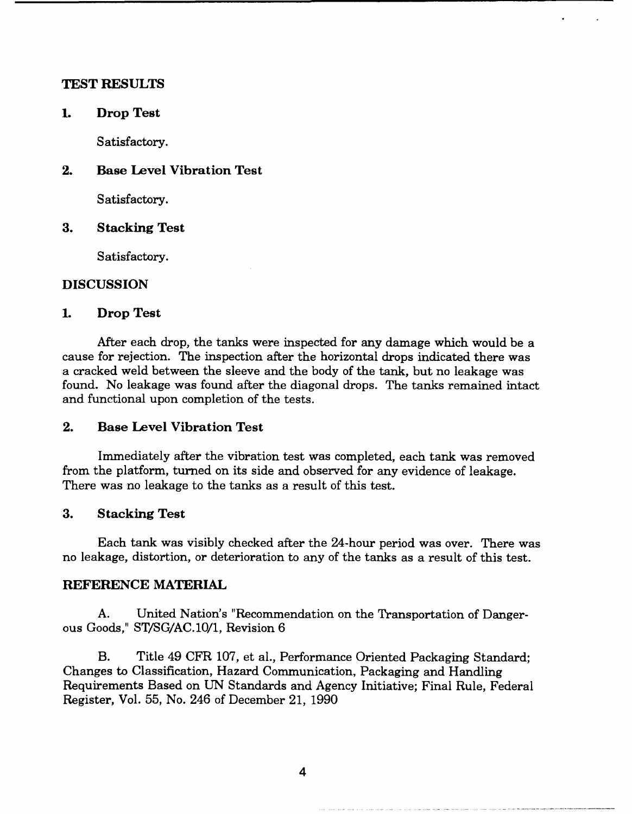#### **TEST RESULTS**

**1. Drop Test**

Satisfactory.

2. **Base Level Vibration Test**

Satisfactory.

**3.** Stacking Test

Satisfactory.

## **DISCUSSION**

#### **1.** Drop Test

After each drop, the tanks were inspected for any damage which would be a cause for rejection. The inspection after the horizontal drops indicated there was a cracked weld between the sleeve and the body of the tank, but no leakage was found. No leakage was found after the diagonal drops. The tanks remained intact and functional upon completion of the tests.

## 2. Base Level Vibration Test

Immediately after the vibration test was completed, each tank was removed from the platform, turned on its side and observed for any evidence of leakage. There was no leakage to the tanks as a result of this test.

#### **3.** Stacking Test

Each tank was visibly checked after the 24-hour period was over. There was no leakage, distortion, or deterioration to any of the tanks as a result of this test.

#### **REFERENCE MATERIAL**

**A.** United Nation's "Recommendation on the Transportation of Dangerous Goods," **ST/SG/AC.10/1,** Revision 6

B. Title 49 **CFR 107,** et al., Performance Oriented Packaging Standard; Changes to Classification, Hazard Communication, Packaging and Handling Requirements Based on **UN** Standards and Agency Initiative; Final Rule, Federal Register, Vol. **55,** No. 246 of December 21, 1990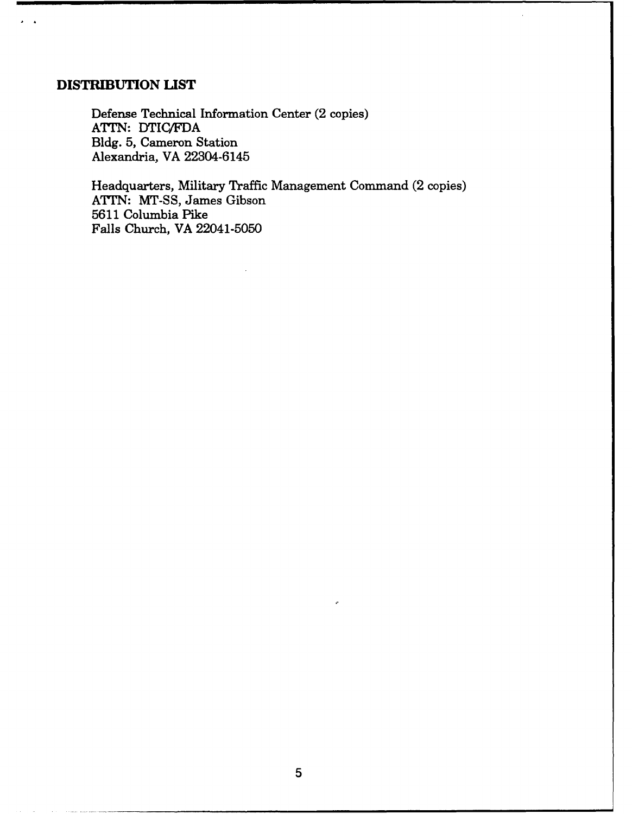## **DISTRIBUTION LIST**

 $\sim$ 

Defense Technical Information Center (2 copies) **ATTN:** DTIC/FDA **Bldg. 5,** Cameron Station Alexandria, VA 22304-6145

Headquarters, Military Traffic Management Command (2 copies) **ATTN: MT-SS,** James Gibson 5611 Columbia Pike Falls Church, VA 22041-5050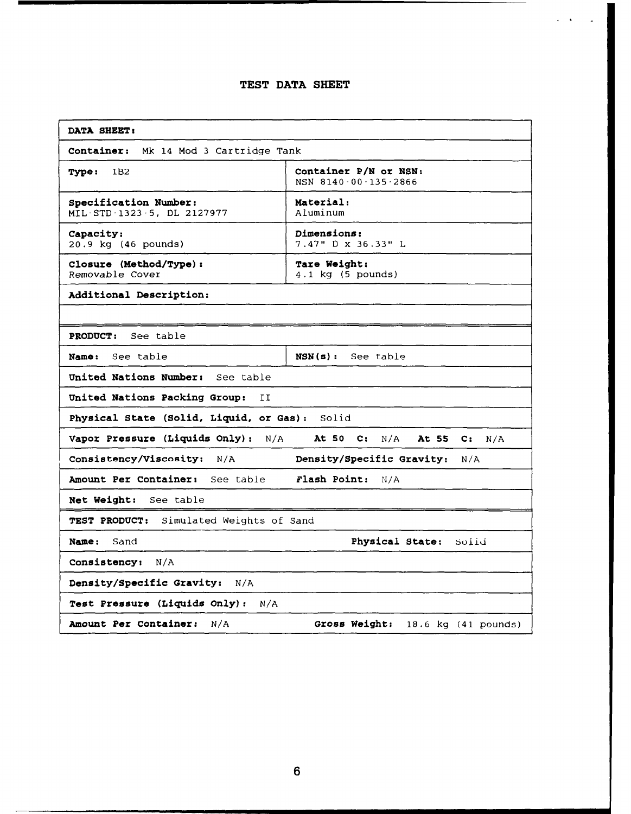#### **TEST DATA SHEET**

| DATA SHEET:                                                          |                                                   |  |  |  |  |  |
|----------------------------------------------------------------------|---------------------------------------------------|--|--|--|--|--|
| Container:<br>Mk 14 Mod 3 Cartridge Tank                             |                                                   |  |  |  |  |  |
| Container P/N or NSN:<br><b>Type:</b><br>1B2<br>NSN 8140-00-135-2866 |                                                   |  |  |  |  |  |
| Specification Number:<br>MIL-STD-1323-5, DL 2127977                  | Material:<br>Aluminum                             |  |  |  |  |  |
| Capacity:<br>20.9 kg (46 pounds)                                     | Dimensions:<br>7.47" D x 36.33" L                 |  |  |  |  |  |
| Closure (Method/Type):<br>Removable Cover                            | Tare Weight:<br>$4.1$ kg $(5$ pounds)             |  |  |  |  |  |
| Additional Description:                                              |                                                   |  |  |  |  |  |
|                                                                      |                                                   |  |  |  |  |  |
| See table<br><b>PRODUCT:</b>                                         |                                                   |  |  |  |  |  |
| See table<br>Name:                                                   | $NSN(s)$ :<br>See table                           |  |  |  |  |  |
| United Nations Number:<br>See table                                  |                                                   |  |  |  |  |  |
| United Nations Packing Group:<br>IJ                                  |                                                   |  |  |  |  |  |
| Physical State (Solid, Liquid, or Gas): Solid                        |                                                   |  |  |  |  |  |
| Vapor Pressure (Liquids Only):<br>N/A                                | At 50 C:<br>N/A<br>At 55<br>$\mathbf{C}$ :<br>N/A |  |  |  |  |  |
| Consistency/Viscosity:<br>N/A                                        | Density/Specific Gravity:<br>N/A                  |  |  |  |  |  |
| Amount Per Container: See table                                      | Flash Point:<br>N/A                               |  |  |  |  |  |
| Net Weight:<br>See table                                             |                                                   |  |  |  |  |  |
| Simulated Weights of Sand<br><b>TEST PRODUCT:</b>                    |                                                   |  |  |  |  |  |
| <b>Name:</b><br>Sand                                                 | Physical State:<br>solid                          |  |  |  |  |  |
| <b>Consistency:</b><br>N/A                                           |                                                   |  |  |  |  |  |
| Density/Specific Gravity:<br>N/A                                     |                                                   |  |  |  |  |  |
| Test Pressure (Liquids Only):<br>N/A                                 |                                                   |  |  |  |  |  |
| <b>Amount Per Container:</b><br>N/A                                  | Gross Weight:<br>18.6 kg (41 pounds)              |  |  |  |  |  |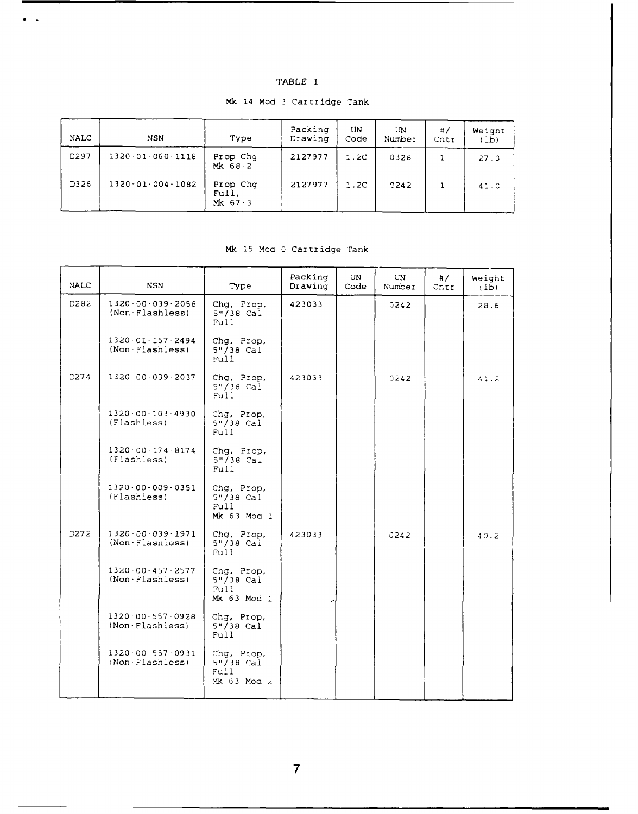| 77 7<br>ABLI |  |
|--------------|--|
|--------------|--|

 $\hat{\mathcal{A}}$ 

| <b>NALC</b> | <b>NSN</b>               | Type                | Packing<br>Drawing | UN<br>Code | UN<br>Number | #/<br>Cntr | Weight<br>(lb) |
|-------------|--------------------------|---------------------|--------------------|------------|--------------|------------|----------------|
| <b>D297</b> | 1320.01.060.1118         | Prop Chg<br>Mk 68-2 | 2127977            | 1.2C       | 0328         |            | 27.0           |
| D326        | $1320 - 01 - 004 - 1082$ | Prop Chg<br>Full.   | 2127977            | 1.2C       | 2242         |            | 41.0           |

Mk 67-3

 $\bullet$   $\bullet$ 

Mk 14 Mod 3 Cartridge Tank

#### Mk 15 Mod 0 Cartridge Tank

| <b>NALC</b> | <b>NSN</b>                                  | Type                                               | Packing<br>Drawing | UN.<br>Code | UN.<br>Number | #/<br>Cntr | Weight<br>(1b) |
|-------------|---------------------------------------------|----------------------------------------------------|--------------------|-------------|---------------|------------|----------------|
| D282        | $1320 - 00 - 039 - 2058$<br>(Non-Flashless) | Chg, Prop,<br>$5*/38$ Cal<br>Full                  | 423033             |             | 0242          |            | 28.6           |
|             | 1320.01.157.2494<br>$(Non-Flashless)$       | Chg, Prop,<br>$5''/38$ Cal<br>Full                 |                    |             |               |            |                |
| D274        | $1320 - 00 - 039 - 2037$                    | Chg, Prop,<br>$5''/38$ Cal<br>Full                 | 423033             |             | 0242          |            | 41.2           |
|             | 1320.00.103.4930<br>(Flashless)             | Chg, Prop,<br>$5''/38$ Cal<br>Ful <sub>1</sub>     |                    |             |               |            |                |
|             | 1320.00.174.8174<br>(Flashless)             | Chg, Prop,<br>$5''/38$ Cal<br>Full                 |                    |             |               |            |                |
|             | $1320 - 00 - 009 - 0351$<br>(Flashless)     | Chg, Prop,<br>$5''/38$ Cal<br>Full<br>Mk 63 Mod 1  |                    |             |               |            |                |
| D272        | $1320 - 00 - 039 - 1971$<br>(Non-Flasniess) | Chg, Prop,<br>$5''/38$ Cai<br>Full                 | 423033             |             | 0242          |            | 40.2           |
|             | $1320 - 00 - 457 - 2577$<br>(Non Flashless) | Chq, Prop,<br>$5''/38$ Cal<br>Full<br>Mk 63 Mod 1  |                    |             |               |            |                |
|             | $1320.00 - 557 - 0928$<br>$(Non-Flashless)$ | Chg, Prop,<br>$5''/38$ Cal<br>Full.                |                    |             |               |            |                |
|             | 1320.00.557.0931<br>(Non-Flashless)         | Chg, Prop,<br>$5" / 38$ Cal<br>Full<br>Mk 63 Mod 2 |                    |             |               |            |                |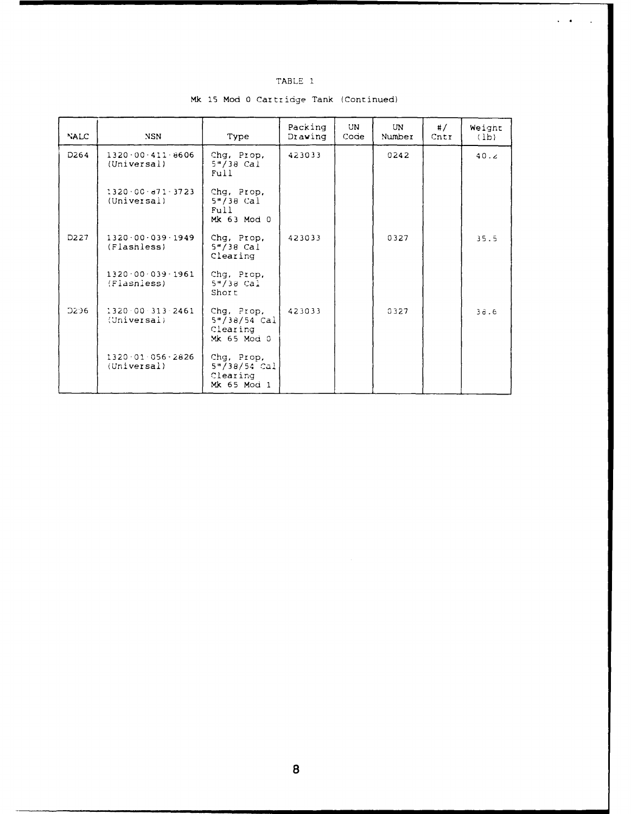|--|--|

 $\ddot{\phantom{a}}$ 

| <b>NALC</b>      | <b>NSN</b>                              | Type                                                     | Packing<br>Drawing | UN<br>Code | UN<br>Number | #/<br>Cntr | Weight<br>(1b) |
|------------------|-----------------------------------------|----------------------------------------------------------|--------------------|------------|--------------|------------|----------------|
| D <sub>264</sub> | $1320.00 - 411 - 8606$<br>(Universal)   | Chg, Prop,<br>$5*/38$ Cal<br>Full                        | 423033             |            | 0242         |            | 40.2           |
|                  | $1320 - 00 - a71 - 3723$<br>(Universal) | Chg, Prop,<br>$5*/38$ Cai<br>Full<br>Mk 63 Mod 0         |                    |            |              |            |                |
| D227             | 1320.00.039.1949<br>(Flashless)         | Chg, Prop,<br>$5''/38$ Cal<br>Clearing                   | 423033             |            | 0327         |            | 35.5           |
|                  | $1320 - 00 - 039 - 1961$<br>(Flashless) | Chg, Prop,<br>$5''/38$ Cal<br>Short                      |                    |            |              |            |                |
| <b>D296</b>      | 1320.00.313.2461<br>(Universal)         | Chg, Prop,<br>$5*/38/54$ Cal<br>Clearing<br>Mk 65 Mod 0  | 423033             |            | 0327         |            | 36.6           |
|                  | $1320.01.056 - 2826$<br>(Universal)     | Chg, Prop,<br>$5''/38/54$ Cal<br>Clearing<br>Mk 65 Mod 1 |                    |            |              |            |                |

Mk 15 Mod 0 Cartridge Tank (Continued)